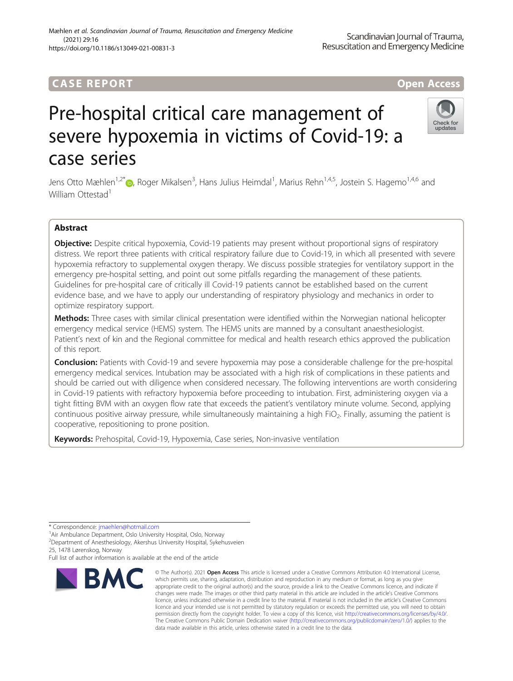# **CASE REPORT And The CASE REPORT** And The CASE ACCESS AND THE CASE ACCESS OPEN Access

# Pre-hospital critical care management of severe hypoxemia in victims of Covid-19: a case series

Jens Otto Mæhlen<sup>1[,](http://orcid.org/0000-0003-3917-8802)2\*</sup>i , Roger Mikalsen<sup>3</sup>, Hans Julius Heimdal<sup>1</sup>, Marius Rehn<sup>1,4,5</sup>, Jostein S. Hagemo<sup>1,4,6</sup> and William Ottestad<sup>1</sup>

# Abstract

Objective: Despite critical hypoxemia, Covid-19 patients may present without proportional signs of respiratory distress. We report three patients with critical respiratory failure due to Covid-19, in which all presented with severe hypoxemia refractory to supplemental oxygen therapy. We discuss possible strategies for ventilatory support in the emergency pre-hospital setting, and point out some pitfalls regarding the management of these patients. Guidelines for pre-hospital care of critically ill Covid-19 patients cannot be established based on the current evidence base, and we have to apply our understanding of respiratory physiology and mechanics in order to optimize respiratory support.

Methods: Three cases with similar clinical presentation were identified within the Norwegian national helicopter emergency medical service (HEMS) system. The HEMS units are manned by a consultant anaesthesiologist. Patient's next of kin and the Regional committee for medical and health research ethics approved the publication of this report.

**Conclusion:** Patients with Covid-19 and severe hypoxemia may pose a considerable challenge for the pre-hospital emergency medical services. Intubation may be associated with a high risk of complications in these patients and should be carried out with diligence when considered necessary. The following interventions are worth considering in Covid-19 patients with refractory hypoxemia before proceeding to intubation. First, administering oxygen via a tight fitting BVM with an oxygen flow rate that exceeds the patient's ventilatory minute volume. Second, applying continuous positive airway pressure, while simultaneously maintaining a high FiO<sub>2</sub>. Finally, assuming the patient is cooperative, repositioning to prone position.

data made available in this article, unless otherwise stated in a credit line to the data.

© The Author(s), 2021 **Open Access** This article is licensed under a Creative Commons Attribution 4.0 International License, which permits use, sharing, adaptation, distribution and reproduction in any medium or format, as long as you give

Keywords: Prehospital, Covid-19, Hypoxemia, Case series, Non-invasive ventilation

\* Correspondence: [jmaehlen@hotmail.com](mailto:jmaehlen@hotmail.com) <sup>1</sup>

<sup>1</sup> Air Ambulance Department, Oslo University Hospital, Oslo, Norway

2 Department of Anesthesiology, Akershus University Hospital, Sykehusveien 25, 1478 Lørenskog, Norway

Full list of author information is available at the end of the article









**RMC**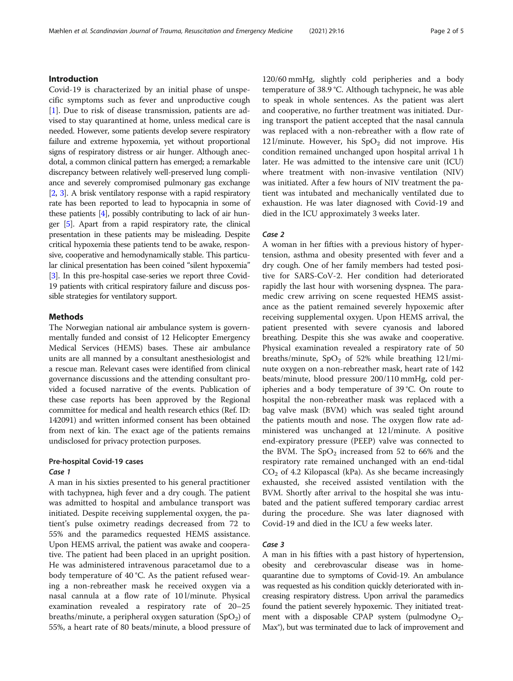# Introduction

Covid-19 is characterized by an initial phase of unspecific symptoms such as fever and unproductive cough [[1\]](#page-4-0). Due to risk of disease transmission, patients are advised to stay quarantined at home, unless medical care is needed. However, some patients develop severe respiratory failure and extreme hypoxemia, yet without proportional signs of respiratory distress or air hunger. Although anecdotal, a common clinical pattern has emerged; a remarkable discrepancy between relatively well-preserved lung compliance and severely compromised pulmonary gas exchange [[2](#page-4-0), [3](#page-4-0)]. A brisk ventilatory response with a rapid respiratory rate has been reported to lead to hypocapnia in some of these patients [\[4](#page-4-0)], possibly contributing to lack of air hunger [\[5\]](#page-4-0). Apart from a rapid respiratory rate, the clinical presentation in these patients may be misleading. Despite critical hypoxemia these patients tend to be awake, responsive, cooperative and hemodynamically stable. This particular clinical presentation has been coined "silent hypoxemia" [[3](#page-4-0)]. In this pre-hospital case-series we report three Covid-19 patients with critical respiratory failure and discuss possible strategies for ventilatory support.

# Methods

The Norwegian national air ambulance system is governmentally funded and consist of 12 Helicopter Emergency Medical Services (HEMS) bases. These air ambulance units are all manned by a consultant anesthesiologist and a rescue man. Relevant cases were identified from clinical governance discussions and the attending consultant provided a focused narrative of the events. Publication of these case reports has been approved by the Regional committee for medical and health research ethics (Ref. ID: 142091) and written informed consent has been obtained from next of kin. The exact age of the patients remains undisclosed for privacy protection purposes.

# Pre-hospital Covid-19 cases Case 1

A man in his sixties presented to his general practitioner with tachypnea, high fever and a dry cough. The patient was admitted to hospital and ambulance transport was initiated. Despite receiving supplemental oxygen, the patient's pulse oximetry readings decreased from 72 to 55% and the paramedics requested HEMS assistance. Upon HEMS arrival, the patient was awake and cooperative. The patient had been placed in an upright position. He was administered intravenous paracetamol due to a body temperature of 40 °C. As the patient refused wearing a non-rebreather mask he received oxygen via a nasal cannula at a flow rate of 10 l/minute. Physical examination revealed a respiratory rate of 20–25 breaths/minute, a peripheral oxygen saturation  $(SpO<sub>2</sub>)$  of 55%, a heart rate of 80 beats/minute, a blood pressure of

120/60 mmHg, slightly cold peripheries and a body temperature of 38.9 °C. Although tachypneic, he was able to speak in whole sentences. As the patient was alert and cooperative, no further treatment was initiated. During transport the patient accepted that the nasal cannula was replaced with a non-rebreather with a flow rate of 12 l/minute. However, his  $SpO<sub>2</sub>$  did not improve. His condition remained unchanged upon hospital arrival 1 h later. He was admitted to the intensive care unit (ICU) where treatment with non-invasive ventilation (NIV) was initiated. After a few hours of NIV treatment the patient was intubated and mechanically ventilated due to exhaustion. He was later diagnosed with Covid-19 and died in the ICU approximately 3 weeks later.

## Case 2

A woman in her fifties with a previous history of hypertension, asthma and obesity presented with fever and a dry cough. One of her family members had tested positive for SARS-CoV-2. Her condition had deteriorated rapidly the last hour with worsening dyspnea. The paramedic crew arriving on scene requested HEMS assistance as the patient remained severely hypoxemic after receiving supplemental oxygen. Upon HEMS arrival, the patient presented with severe cyanosis and labored breathing. Despite this she was awake and cooperative. Physical examination revealed a respiratory rate of 50 breaths/minute,  $SpO<sub>2</sub>$  of 52% while breathing 12 l/minute oxygen on a non-rebreather mask, heart rate of 142 beats/minute, blood pressure 200/110 mmHg, cold peripheries and a body temperature of 39 °C. On route to hospital the non-rebreather mask was replaced with a bag valve mask (BVM) which was sealed tight around the patients mouth and nose. The oxygen flow rate administered was unchanged at 12 l/minute. A positive end-expiratory pressure (PEEP) valve was connected to the BVM. The  $SpO<sub>2</sub>$  increased from 52 to 66% and the respiratory rate remained unchanged with an end-tidal  $CO<sub>2</sub>$  of 4.2 Kilopascal (kPa). As she became increasingly exhausted, she received assisted ventilation with the BVM. Shortly after arrival to the hospital she was intubated and the patient suffered temporary cardiac arrest during the procedure. She was later diagnosed with Covid-19 and died in the ICU a few weeks later.

## Case 3

A man in his fifties with a past history of hypertension, obesity and cerebrovascular disease was in homequarantine due to symptoms of Covid-19. An ambulance was requested as his condition quickly deteriorated with increasing respiratory distress. Upon arrival the paramedics found the patient severely hypoxemic. They initiated treatment with a disposable CPAP system (pulmodyne  $O_2$ -Max®), but was terminated due to lack of improvement and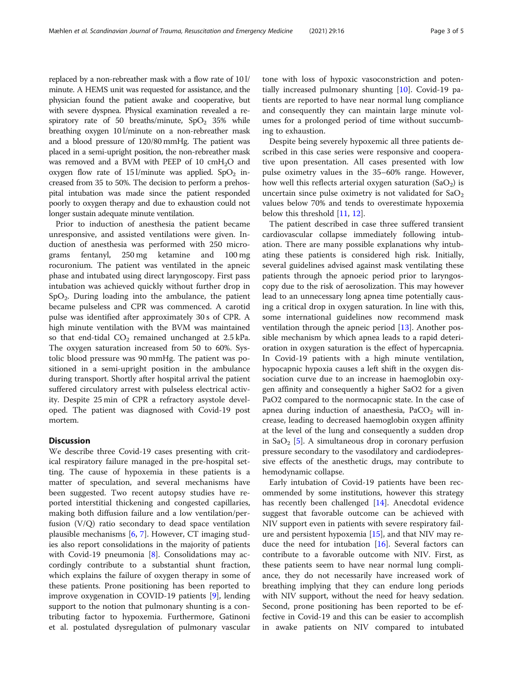replaced by a non-rebreather mask with a flow rate of 10 l/ minute. A HEMS unit was requested for assistance, and the physician found the patient awake and cooperative, but with severe dyspnea. Physical examination revealed a respiratory rate of 50 breaths/minute,  $SpO<sub>2</sub>$  35% while breathing oxygen 10 l/minute on a non-rebreather mask and a blood pressure of 120/80 mmHg. The patient was placed in a semi-upright position, the non-rebreather mask was removed and a BVM with PEEP of 10  $cmH<sub>2</sub>O$  and oxygen flow rate of 15 l/minute was applied. SpO<sub>2</sub> increased from 35 to 50%. The decision to perform a prehospital intubation was made since the patient responded poorly to oxygen therapy and due to exhaustion could not longer sustain adequate minute ventilation.

Prior to induction of anesthesia the patient became unresponsive, and assisted ventilations were given. Induction of anesthesia was performed with 250 micrograms fentanyl, 250 mg ketamine and 100 mg rocuronium. The patient was ventilated in the apneic phase and intubated using direct laryngoscopy. First pass intubation was achieved quickly without further drop in  $SpO<sub>2</sub>$ . During loading into the ambulance, the patient became pulseless and CPR was commenced. A carotid pulse was identified after approximately 30 s of CPR. A high minute ventilation with the BVM was maintained so that end-tidal  $CO<sub>2</sub>$  remained unchanged at 2.5 kPa. The oxygen saturation increased from 50 to 60%. Systolic blood pressure was 90 mmHg. The patient was positioned in a semi-upright position in the ambulance during transport. Shortly after hospital arrival the patient suffered circulatory arrest with pulseless electrical activity. Despite 25 min of CPR a refractory asystole developed. The patient was diagnosed with Covid-19 post mortem.

# **Discussion**

We describe three Covid-19 cases presenting with critical respiratory failure managed in the pre-hospital setting. The cause of hypoxemia in these patients is a matter of speculation, and several mechanisms have been suggested. Two recent autopsy studies have reported interstitial thickening and congested capillaries, making both diffusion failure and a low ventilation/perfusion (V/Q) ratio secondary to dead space ventilation plausible mechanisms [\[6](#page-4-0), [7](#page-4-0)]. However, CT imaging studies also report consolidations in the majority of patients with Covid-19 pneumonia  $[8]$  $[8]$ . Consolidations may accordingly contribute to a substantial shunt fraction, which explains the failure of oxygen therapy in some of these patients. Prone positioning has been reported to improve oxygenation in COVID-19 patients [\[9](#page-4-0)], lending support to the notion that pulmonary shunting is a contributing factor to hypoxemia. Furthermore, Gatinoni et al. postulated dysregulation of pulmonary vascular tone with loss of hypoxic vasoconstriction and potentially increased pulmonary shunting [[10\]](#page-4-0). Covid-19 patients are reported to have near normal lung compliance and consequently they can maintain large minute volumes for a prolonged period of time without succumbing to exhaustion.

Despite being severely hypoxemic all three patients described in this case series were responsive and cooperative upon presentation. All cases presented with low pulse oximetry values in the 35–60% range. However, how well this reflects arterial oxygen saturation  $(SaO<sub>2</sub>)$  is uncertain since pulse oximetry is not validated for  $a_2$ values below 70% and tends to overestimate hypoxemia below this threshold [\[11,](#page-4-0) [12\]](#page-4-0).

The patient described in case three suffered transient cardiovascular collapse immediately following intubation. There are many possible explanations why intubating these patients is considered high risk. Initially, several guidelines advised against mask ventilating these patients through the apnoeic period prior to laryngoscopy due to the risk of aerosolization. This may however lead to an unnecessary long apnea time potentially causing a critical drop in oxygen saturation. In line with this, some international guidelines now recommend mask ventilation through the apneic period [\[13](#page-4-0)]. Another possible mechanism by which apnea leads to a rapid deterioration in oxygen saturation is the effect of hypercapnia. In Covid-19 patients with a high minute ventilation, hypocapnic hypoxia causes a left shift in the oxygen dissociation curve due to an increase in haemoglobin oxygen affinity and consequently a higher SaO2 for a given PaO2 compared to the normocapnic state. In the case of apnea during induction of anaesthesia,  $PaCO<sub>2</sub>$  will increase, leading to decreased haemoglobin oxygen affinity at the level of the lung and consequently a sudden drop in SaO<sub>2</sub> [[5\]](#page-4-0). A simultaneous drop in coronary perfusion pressure secondary to the vasodilatory and cardiodepressive effects of the anesthetic drugs, may contribute to hemodynamic collapse.

Early intubation of Covid-19 patients have been recommended by some institutions, however this strategy has recently been challenged [[14](#page-4-0)]. Anecdotal evidence suggest that favorable outcome can be achieved with NIV support even in patients with severe respiratory failure and persistent hypoxemia [[15\]](#page-4-0), and that NIV may reduce the need for intubation  $[16]$ . Several factors can contribute to a favorable outcome with NIV. First, as these patients seem to have near normal lung compliance, they do not necessarily have increased work of breathing implying that they can endure long periods with NIV support, without the need for heavy sedation. Second, prone positioning has been reported to be effective in Covid-19 and this can be easier to accomplish in awake patients on NIV compared to intubated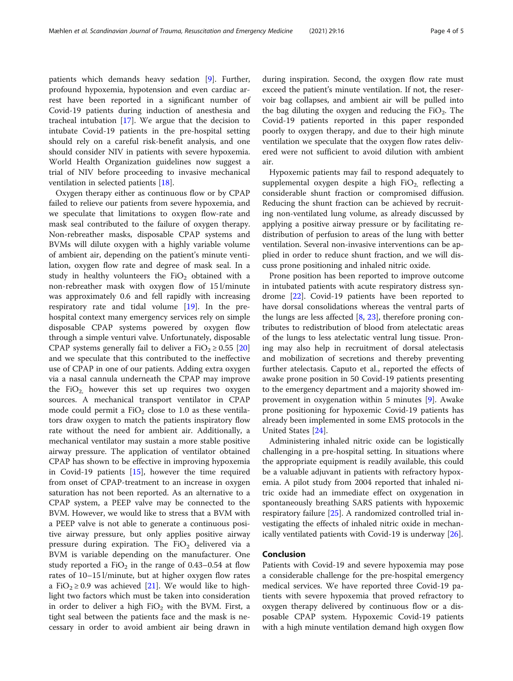Mæhlen et al. Scandinavian Journal of Trauma, Resuscitation and Emergency Medicine (2021) 29:16 Page 4 of 5

patients which demands heavy sedation [\[9](#page-4-0)]. Further, profound hypoxemia, hypotension and even cardiac arrest have been reported in a significant number of Covid-19 patients during induction of anesthesia and tracheal intubation [[17\]](#page-4-0). We argue that the decision to intubate Covid-19 patients in the pre-hospital setting should rely on a careful risk-benefit analysis, and one should consider NIV in patients with severe hypoxemia. World Health Organization guidelines now suggest a trial of NIV before proceeding to invasive mechanical ventilation in selected patients [\[18](#page-4-0)].

Oxygen therapy either as continuous flow or by CPAP failed to relieve our patients from severe hypoxemia, and we speculate that limitations to oxygen flow-rate and mask seal contributed to the failure of oxygen therapy. Non-rebreather masks, disposable CPAP systems and BVMs will dilute oxygen with a highly variable volume of ambient air, depending on the patient's minute ventilation, oxygen flow rate and degree of mask seal. In a study in healthy volunteers the  $FiO<sub>2</sub>$  obtained with a non-rebreather mask with oxygen flow of 15 l/minute was approximately 0.6 and fell rapidly with increasing respiratory rate and tidal volume [[19](#page-4-0)]. In the prehospital context many emergency services rely on simple disposable CPAP systems powered by oxygen flow through a simple venturi valve. Unfortunately, disposable CPAP systems generally fail to deliver a  $FiO<sub>2</sub> \ge 0.55$  [[20](#page-4-0)] and we speculate that this contributed to the ineffective use of CPAP in one of our patients. Adding extra oxygen via a nasal cannula underneath the CPAP may improve the  $FiO<sub>2</sub>$  however this set up requires two oxygen sources. A mechanical transport ventilator in CPAP mode could permit a  $FiO<sub>2</sub>$  close to 1.0 as these ventilators draw oxygen to match the patients inspiratory flow rate without the need for ambient air. Additionally, a mechanical ventilator may sustain a more stable positive airway pressure. The application of ventilator obtained CPAP has shown to be effective in improving hypoxemia in Covid-19 patients [[15\]](#page-4-0), however the time required from onset of CPAP-treatment to an increase in oxygen saturation has not been reported. As an alternative to a CPAP system, a PEEP valve may be connected to the BVM. However, we would like to stress that a BVM with a PEEP valve is not able to generate a continuous positive airway pressure, but only applies positive airway pressure during expiration. The  $FiO<sub>2</sub>$  delivered via a BVM is variable depending on the manufacturer. One study reported a  $FiO<sub>2</sub>$  in the range of 0.43–0.54 at flow rates of 10–15 l/minute, but at higher oxygen flow rates a FiO<sub>2</sub> ≥ 0.9 was achieved [\[21](#page-4-0)]. We would like to highlight two factors which must be taken into consideration in order to deliver a high  $FiO<sub>2</sub>$  with the BVM. First, a tight seal between the patients face and the mask is necessary in order to avoid ambient air being drawn in during inspiration. Second, the oxygen flow rate must exceed the patient's minute ventilation. If not, the reservoir bag collapses, and ambient air will be pulled into the bag diluting the oxygen and reducing the  $FiO<sub>2</sub>$ . The Covid-19 patients reported in this paper responded poorly to oxygen therapy, and due to their high minute ventilation we speculate that the oxygen flow rates delivered were not sufficient to avoid dilution with ambient air.

Hypoxemic patients may fail to respond adequately to supplemental oxygen despite a high  $FiO<sub>2</sub>$  reflecting a considerable shunt fraction or compromised diffusion. Reducing the shunt fraction can be achieved by recruiting non-ventilated lung volume, as already discussed by applying a positive airway pressure or by facilitating redistribution of perfusion to areas of the lung with better ventilation. Several non-invasive interventions can be applied in order to reduce shunt fraction, and we will discuss prone positioning and inhaled nitric oxide.

Prone position has been reported to improve outcome in intubated patients with acute respiratory distress syndrome [[22\]](#page-4-0). Covid-19 patients have been reported to have dorsal consolidations whereas the ventral parts of the lungs are less affected [[8](#page-4-0), [23](#page-4-0)], therefore proning contributes to redistribution of blood from atelectatic areas of the lungs to less atelectatic ventral lung tissue. Proning may also help in recruitment of dorsal atelectasis and mobilization of secretions and thereby preventing further atelectasis. Caputo et al., reported the effects of awake prone position in 50 Covid-19 patients presenting to the emergency department and a majority showed improvement in oxygenation within 5 minutes [[9\]](#page-4-0). Awake prone positioning for hypoxemic Covid-19 patients has already been implemented in some EMS protocols in the United States [[24](#page-4-0)].

Administering inhaled nitric oxide can be logistically challenging in a pre-hospital setting. In situations where the appropriate equipment is readily available, this could be a valuable adjuvant in patients with refractory hypoxemia. A pilot study from 2004 reported that inhaled nitric oxide had an immediate effect on oxygenation in spontaneously breathing SARS patients with hypoxemic respiratory failure [[25\]](#page-4-0). A randomized controlled trial investigating the effects of inhaled nitric oxide in mechanically ventilated patients with Covid-19 is underway [[26](#page-4-0)].

## Conclusion

Patients with Covid-19 and severe hypoxemia may pose a considerable challenge for the pre-hospital emergency medical services. We have reported three Covid-19 patients with severe hypoxemia that proved refractory to oxygen therapy delivered by continuous flow or a disposable CPAP system. Hypoxemic Covid-19 patients with a high minute ventilation demand high oxygen flow